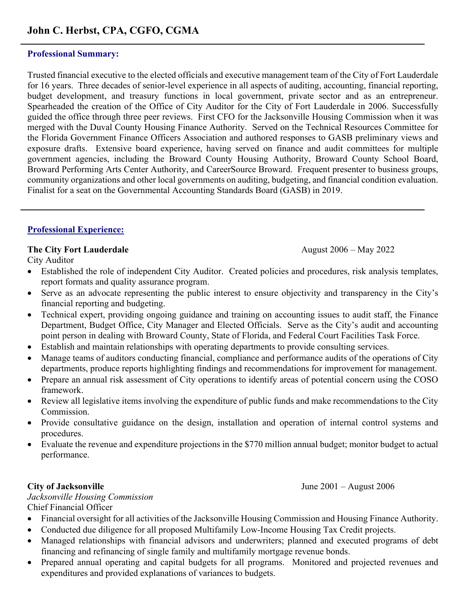# **John C. Herbst, CPA, CGFO, CGMA**

#### **Professional Summary:**

Trusted financial executive to the elected officials and executive management team of the City of Fort Lauderdale for 16 years.Three decades of senior-level experience in all aspects of auditing, accounting, financial reporting, budget development, and treasury functions in local government, private sector and as an entrepreneur. Spearheaded the creation of the Office of City Auditor for the City of Fort Lauderdale in 2006. Successfully guided the office through three peer reviews. First CFO for the Jacksonville Housing Commission when it was merged with the Duval County Housing Finance Authority. Served on the Technical Resources Committee for the Florida Government Finance Officers Association and authored responses to GASB preliminary views and exposure drafts. Extensive board experience, having served on finance and audit committees for multiple government agencies, including the Broward County Housing Authority, Broward County School Board, Broward Performing Arts Center Authority, and CareerSource Broward. Frequent presenter to business groups, community organizations and other local governments on auditing, budgeting, and financial condition evaluation. Finalist for a seat on the Governmental Accounting Standards Board (GASB) in 2019.

#### **Professional Experience:**

#### **The City Fort Lauderdale August 2006 – May 2022**

City Auditor

- Established the role of independent City Auditor. Created policies and procedures, risk analysis templates, report formats and quality assurance program.
- Serve as an advocate representing the public interest to ensure objectivity and transparency in the City's financial reporting and budgeting.
- Technical expert, providing ongoing guidance and training on accounting issues to audit staff, the Finance Department, Budget Office, City Manager and Elected Officials. Serve as the City's audit and accounting point person in dealing with Broward County, State of Florida, and Federal Court Facilities Task Force.
- Establish and maintain relationships with operating departments to provide consulting services.
- Manage teams of auditors conducting financial, compliance and performance audits of the operations of City departments, produce reports highlighting findings and recommendations for improvement for management.
- Prepare an annual risk assessment of City operations to identify areas of potential concern using the COSO framework.
- Review all legislative items involving the expenditure of public funds and make recommendations to the City Commission.
- Provide consultative guidance on the design, installation and operation of internal control systems and procedures.
- Evaluate the revenue and expenditure projections in the \$770 million annual budget; monitor budget to actual performance.

*Jacksonville Housing Commission*  Chief Financial Officer

- Financial oversight for all activities of the Jacksonville Housing Commission and Housing Finance Authority.
- Conducted due diligence for all proposed Multifamily Low-Income Housing Tax Credit projects.
- Managed relationships with financial advisors and underwriters; planned and executed programs of debt financing and refinancing of single family and multifamily mortgage revenue bonds.
- Prepared annual operating and capital budgets for all programs. Monitored and projected revenues and expenditures and provided explanations of variances to budgets.

**City of Jacksonville June 2001** – August 2006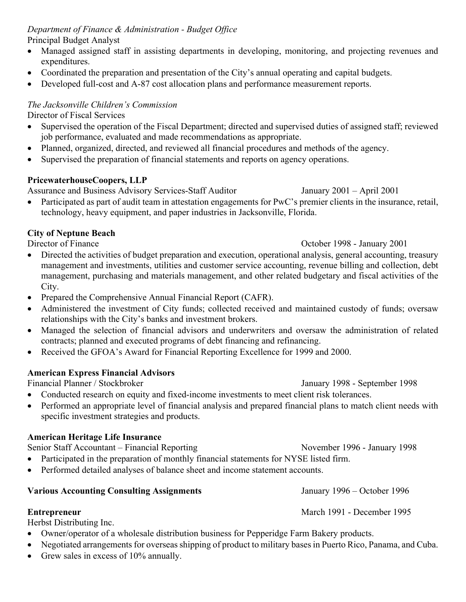*Department of Finance & Administration - Budget Office* Principal Budget Analyst

- Managed assigned staff in assisting departments in developing, monitoring, and projecting revenues and expenditures.
- Coordinated the preparation and presentation of the City's annual operating and capital budgets.
- Developed full-cost and A-87 cost allocation plans and performance measurement reports.

## *The Jacksonville Children's Commission*

Director of Fiscal Services

- Supervised the operation of the Fiscal Department; directed and supervised duties of assigned staff; reviewed job performance, evaluated and made recommendations as appropriate.
- Planned, organized, directed, and reviewed all financial procedures and methods of the agency.
- Supervised the preparation of financial statements and reports on agency operations.

## **PricewaterhouseCoopers, LLP**

Assurance and Business Advisory Services-Staff Auditor January 2001 – April 2001

• Participated as part of audit team in attestation engagements for PwC's premier clients in the insurance, retail, technology, heavy equipment, and paper industries in Jacksonville, Florida.

# **City of Neptune Beach**

- Directed the activities of budget preparation and execution, operational analysis, general accounting, treasury management and investments, utilities and customer service accounting, revenue billing and collection, debt management, purchasing and materials management, and other related budgetary and fiscal activities of the City.
- Prepared the Comprehensive Annual Financial Report (CAFR).
- Administered the investment of City funds; collected received and maintained custody of funds; oversaw relationships with the City's banks and investment brokers.
- Managed the selection of financial advisors and underwriters and oversaw the administration of related contracts; planned and executed programs of debt financing and refinancing.
- Received the GFOA's Award for Financial Reporting Excellence for 1999 and 2000.

# **American Express Financial Advisors**

Financial Planner / Stockbroker January 1998 - September 1998

# • Conducted research on equity and fixed-income investments to meet client risk tolerances.

• Performed an appropriate level of financial analysis and prepared financial plans to match client needs with specific investment strategies and products.

# **American Heritage Life Insurance**

Senior Staff Accountant – Financial Reporting November 1996 - January 1998

- Participated in the preparation of monthly financial statements for NYSE listed firm.
- Performed detailed analyses of balance sheet and income statement accounts.

#### **Various Accounting Consulting Assignments** January 1996 – October 1996

Herbst Distributing Inc.

- Owner/operator of a wholesale distribution business for Pepperidge Farm Bakery products.
- Negotiated arrangements for overseas shipping of product to military bases in Puerto Rico, Panama, and Cuba.
- Grew sales in excess of 10% annually.

Director of Finance October 1998 - January 2001

**Entrepreneur** March 1991 - December 1995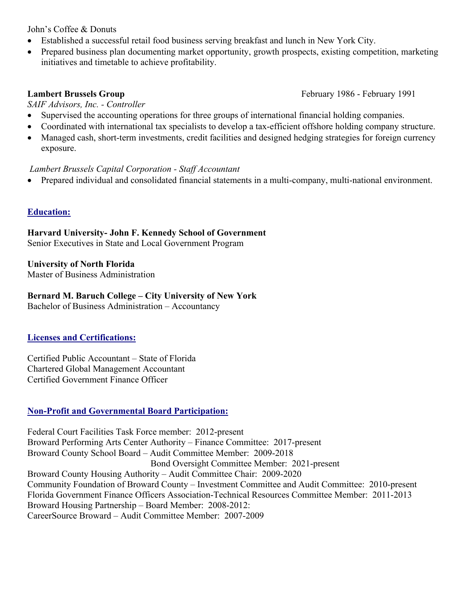John's Coffee & Donuts

- Established a successful retail food business serving breakfast and lunch in New York City.
- Prepared business plan documenting market opportunity, growth prospects, existing competition, marketing initiatives and timetable to achieve profitability.

#### **Lambert Brussels Group February 1986 - February 1991**

*SAIF Advisors, Inc. - Controller* 

- Supervised the accounting operations for three groups of international financial holding companies.
- Coordinated with international tax specialists to develop a tax-efficient offshore holding company structure.
- Managed cash, short-term investments, credit facilities and designed hedging strategies for foreign currency exposure.

#### *Lambert Brussels Capital Corporation - Staff Accountant*

• Prepared individual and consolidated financial statements in a multi-company, multi-national environment.

#### **Education:**

**Harvard University- John F. Kennedy School of Government**  Senior Executives in State and Local Government Program

# **University of North Florida**

Master of Business Administration

#### **Bernard M. Baruch College – City University of New York**

Bachelor of Business Administration – Accountancy

#### **Licenses and Certifications:**

Certified Public Accountant – State of Florida Chartered Global Management Accountant Certified Government Finance Officer

#### **Non-Profit and Governmental Board Participation:**

Federal Court Facilities Task Force member: 2012-present Broward Performing Arts Center Authority – Finance Committee: 2017-present Broward County School Board – Audit Committee Member: 2009-2018 Bond Oversight Committee Member: 2021-present Broward County Housing Authority – Audit Committee Chair: 2009-2020 Community Foundation of Broward County – Investment Committee and Audit Committee: 2010-present Florida Government Finance Officers Association-Technical Resources Committee Member: 2011-2013 Broward Housing Partnership – Board Member: 2008-2012: CareerSource Broward – Audit Committee Member: 2007-2009